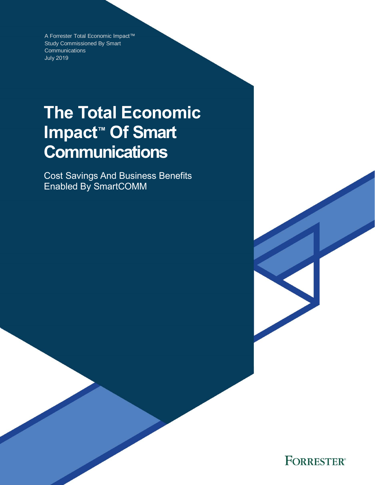A Forrester Total Economic Impact™ Study Commissioned By Smart **Communications** July 2019

# **The Total Economic Impact™ Of Smart Communications**

Cost Savings And Business Benefits Enabled By SmartCOMM

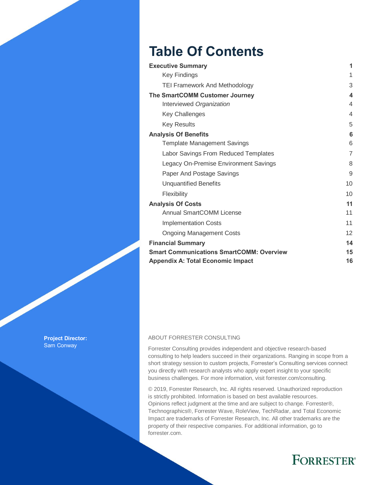# **Table Of Contents**

| <b>Executive Summary</b>                        | 1  |
|-------------------------------------------------|----|
| <b>Key Findings</b>                             | 1  |
| <b>TEI Framework And Methodology</b>            | 3  |
| The SmartCOMM Customer Journey                  | 4  |
| Interviewed Organization                        | 4  |
| <b>Key Challenges</b>                           | 4  |
| <b>Key Results</b>                              | 5  |
| <b>Analysis Of Benefits</b>                     | 6  |
| <b>Template Management Savings</b>              | 6  |
| Labor Savings From Reduced Templates            | 7  |
| Legacy On-Premise Environment Savings           | 8  |
| Paper And Postage Savings                       | 9  |
| <b>Unquantified Benefits</b>                    | 10 |
| Flexibility                                     | 10 |
| <b>Analysis Of Costs</b>                        | 11 |
| Annual SmartCOMM License                        | 11 |
| <b>Implementation Costs</b>                     | 11 |
| <b>Ongoing Management Costs</b>                 | 12 |
| <b>Financial Summary</b>                        | 14 |
| <b>Smart Communications SmartCOMM: Overview</b> | 15 |
| <b>Appendix A: Total Economic Impact</b>        | 16 |

**Project Director:** Sam Conway

#### ABOUT FORRESTER CONSULTING

Forrester Consulting provides independent and objective research-based consulting to help leaders succeed in their organizations. Ranging in scope from a short strategy session to custom projects, Forrester's Consulting services connect you directly with research analysts who apply expert insight to your specific business challenges. For more information, visit forrester.com/consulting.

© 2019, Forrester Research, Inc. All rights reserved. Unauthorized reproduction is strictly prohibited. Information is based on best available resources. Opinions reflect judgment at the time and are subject to change. Forrester®, Technographics®, Forrester Wave, RoleView, TechRadar, and Total Economic Impact are trademarks of Forrester Research, Inc. All other trademarks are the property of their respective companies. For additional information, go to forrester.com.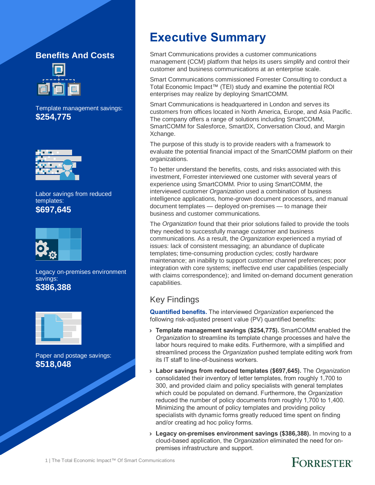### **Benefits And Costs**



Template management savings: **\$254,775**



Labor savings from reduced templates: **\$697,645**



Legacy on-premises environment savings: **\$386,388**



Paper and postage savings: **\$518,048**

# **Executive Summary**

Smart Communications provides a customer communications management (CCM) platform that helps its users simplify and control their customer and business communications at an enterprise scale.

Smart Communications commissioned Forrester Consulting to conduct a Total Economic Impact™ (TEI) study and examine the potential ROI enterprises may realize by deploying SmartCOMM.

Smart Communications is headquartered in London and serves its customers from offices located in North America, Europe, and Asia Pacific. The company offers a range of solutions including SmartCOMM, SmartCOMM for Salesforce, SmartDX, Conversation Cloud, and Margin Xchange.

The purpose of this study is to provide readers with a framework to evaluate the potential financial impact of the SmartCOMM platform on their organizations.

To better understand the benefits, costs, and risks associated with this investment, Forrester interviewed one customer with several years of experience using SmartCOMM. Prior to using SmartCOMM, the interviewed customer *Organization* used a combination of business intelligence applications, home-grown document processors, and manual document templates — deployed on-premises — to manage their business and customer communications.

The *Organization* found that their prior solutions failed to provide the tools they needed to successfully manage customer and business communications. As a result, the *Organization* experienced a myriad of issues: lack of consistent messaging; an abundance of duplicate templates; time-consuming production cycles; costly hardware maintenance; an inability to support customer channel preferences; poor integration with core systems; ineffective end user capabilities (especially with claims correspondence); and limited on-demand document generation capabilities.

### Key Findings

**Quantified benefits.** The interviewed *Organization* experienced the following risk-adjusted present value (PV) quantified benefits:

- › **Template management savings (\$254,775).** SmartCOMM enabled the *Organization* to streamline its template change processes and halve the labor hours required to make edits. Furthermore, with a simplified and streamlined process the *Organization* pushed template editing work from its IT staff to line-of-business workers.
- › **Labor savings from reduced templates (\$697,645).** The *Organization* consolidated their inventory of letter templates, from roughly 1,700 to 300, and provided claim and policy specialists with general templates which could be populated on demand. Furthermore, the *Organization* reduced the number of policy documents from roughly 1,700 to 1,400. Minimizing the amount of policy templates and providing policy specialists with dynamic forms greatly reduced time spent on finding and/or creating ad hoc policy forms.
- › **Legacy on-premises environment savings (\$386,388).** In moving to a cloud-based application, the *Organization* eliminated the need for onpremises infrastructure and support.

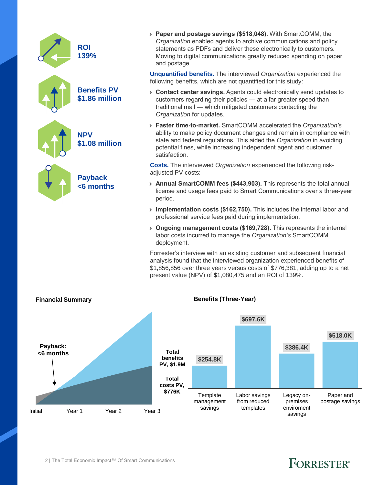| <b>ROI</b><br>139%                          | > Paper and<br>Organizatio<br>statements<br>Moving to<br>and postag          |
|---------------------------------------------|------------------------------------------------------------------------------|
|                                             | <b>Unquantified</b><br>following ben                                         |
| <b>Benefits PV</b><br><b>\$1.86 million</b> | > Contact co<br>customers<br>traditional i<br>Organizatio                    |
| <b>NPV</b><br>\$1.08 million                | > Faster tim<br>ability to m<br>state and f<br>potential fir<br>satisfactior |
|                                             | Costs. The in<br>adjusted PV                                                 |
| <b>Payback</b><br><6 months                 | > Annual Sn<br>license and<br>period.                                        |
|                                             | Implement<br>$\blacktriangleright$<br>professiona                            |
|                                             | > Ongoing r<br>labor costs<br>donlownon                                      |

postage savings (\$518,048). With SmartCOMM, the *On* enabled agents to archive communications and policy s as PDFs and deliver these electronically to customers. digital communications greatly reduced spending on paper je.

**d benefits.** The interviewed *Organization* experienced the hefits, which are not quantified for this study:

- enter savings. Agents could electronically send updates to regarding their policies — at a far greater speed than mail — which mitigated customers contacting the *on* for updates.
- › **Faster time-to-market.** SmartCOMM accelerated the *Organization's* ake policy document changes and remain in compliance with ederal regulations. This aided the *Organization* in avoiding nes, while increasing independent agent and customer satisfaction.

**Costs.** The interviewed *Organization* experienced the following riskcosts:

- **nartCOMM fees (\$443,903).** This represents the total annual d usage fees paid to Smart Communications over a three-year
- **tation costs (\$162,750).** This includes the internal labor and al service fees paid during implementation.
- **nanagement costs (\$169,728).** This represents the internal incurred to manage the *Organization's* SmartCOMM deployment.

Forrester's interview with an existing customer and subsequent financial analysis found that the interviewed organization experienced benefits of \$1,856,856 over three years versus costs of \$776,381, adding up to a net present value (NPV) of \$1,080,475 and an ROI of 139%.



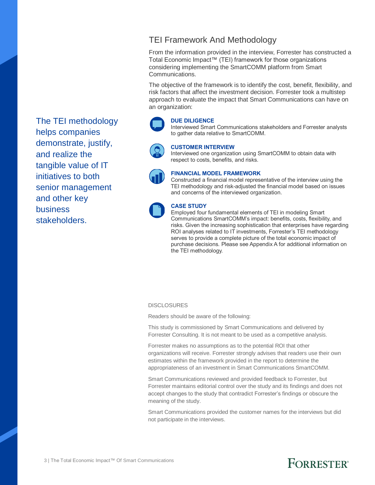### TEI Framework And Methodology

From the information provided in the interview, Forrester has constructed a Total Economic Impact™ (TEI) framework for those organizations considering implementing the SmartCOMM platform from Smart Communications.

The objective of the framework is to identify the cost, benefit, flexibility, and risk factors that affect the investment decision. Forrester took a multistep approach to evaluate the impact that Smart Communications can have on an organization:

#### **DUE DILIGENCE**

Interviewed Smart Communications stakeholders and Forrester analysts to gather data relative to SmartCOMM.

**CUSTOMER INTERVIEW**

Interviewed one organization using SmartCOMM to obtain data with respect to costs, benefits, and risks.



#### **FINANCIAL MODEL FRAMEWORK**

Constructed a financial model representative of the interview using the TEI methodology and risk-adjusted the financial model based on issues and concerns of the interviewed organization.



#### **CASE STUDY**

Employed four fundamental elements of TEI in modeling Smart Communications SmartCOMM's impact: benefits, costs, flexibility, and risks. Given the increasing sophistication that enterprises have regarding ROI analyses related to IT investments, Forrester's TEI methodology serves to provide a complete picture of the total economic impact of purchase decisions. Please see Appendix A for additional information on the TEI methodology.

#### **DISCLOSURES**

Readers should be aware of the following:

This study is commissioned by Smart Communications and delivered by Forrester Consulting. It is not meant to be used as a competitive analysis.

Forrester makes no assumptions as to the potential ROI that other organizations will receive. Forrester strongly advises that readers use their own estimates within the framework provided in the report to determine the appropriateness of an investment in Smart Communications SmartCOMM.

Smart Communications reviewed and provided feedback to Forrester, but Forrester maintains editorial control over the study and its findings and does not accept changes to the study that contradict Forrester's findings or obscure the meaning of the study.

Smart Communications provided the customer names for the interviews but did not participate in the interviews.

The TEI methodology helps companies demonstrate, justify, and realize the tangible value of IT initiatives to both senior management and other key business stakeholders.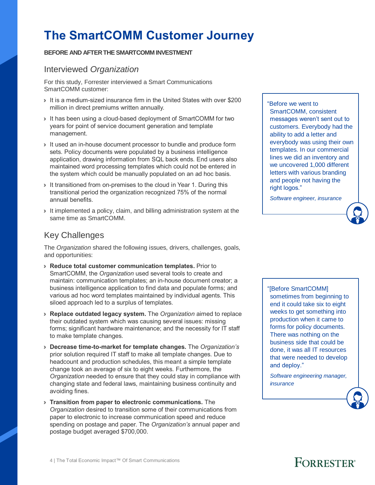# **The SmartCOMM Customer Journey**

#### **BEFORE AND AFTER THE SMARTCOMM INVESTMENT**

#### Interviewed *Organization*

For this study, Forrester interviewed a Smart Communications SmartCOMM customer:

- › It is a medium-sized insurance firm in the United States with over \$200 million in direct premiums written annually.
- › It has been using a cloud-based deployment of SmartCOMM for two years for point of service document generation and template management.
- › It used an in-house document processor to bundle and produce form sets. Policy documents were populated by a business intelligence application, drawing information from SQL back ends. End users also maintained word processing templates which could not be entered in the system which could be manually populated on an ad hoc basis.
- It transitioned from on-premises to the cloud in Year 1. During this transitional period the organization recognized 75% of the normal annual benefits.
- › It implemented a policy, claim, and billing administration system at the same time as SmartCOMM.

### Key Challenges

The *Organization* shared the following issues, drivers, challenges, goals, and opportunities:

- › **Reduce total customer communication templates.** Prior to SmartCOMM, the *Organization* used several tools to create and maintain: communication templates; an in-house document creator; a business intelligence application to find data and populate forms; and various ad hoc word templates maintained by individual agents. This siloed approach led to a surplus of templates.
- › **Replace outdated legacy system.** The *Organization* aimed to replace their outdated system which was causing several issues: missing forms; significant hardware maintenance; and the necessity for IT staff to make template changes.
- › **Decrease time-to-market for template changes.** The *Organization's* prior solution required IT staff to make all template changes. Due to headcount and production schedules, this meant a simple template change took an average of six to eight weeks. Furthermore, the *Organization* needed to ensure that they could stay in compliance with changing state and federal laws, maintaining business continuity and avoiding fines.
- › **Transition from paper to electronic communications.** The *Organization* desired to transition some of their communications from paper to electronic to increase communication speed and reduce spending on postage and paper. The *Organization's* annual paper and postage budget averaged \$700,000.

"Before we went to SmartCOMM, consistent messages weren't sent out to customers. Everybody had the ability to add a letter and everybody was using their own templates. In our commercial lines we did an inventory and we uncovered 1,000 different letters with various branding and people not having the right logos."

*Software engineer, insurance*



*Software engineering manager, insurance*

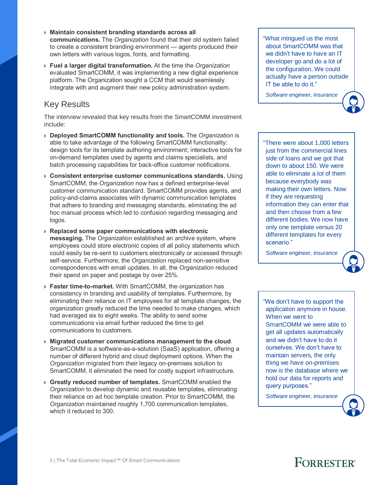- › **Maintain consistent branding standards across all communications.** The *Organization* found that their old system failed to create a consistent branding environment — agents produced their own letters with various logos, fonts, and formatting.
- › **Fuel a larger digital transformation.** At the time the *Organization* evaluated SmartCOMM, it was implementing a new digital experience platform. The Organization sought a CCM that would seamlessly integrate with and augment their new policy administration system.

#### Key Results

The interview revealed that key results from the SmartCOMM investment include:

- › **Deployed SmartCOMM functionality and tools.** The *Organization* is able to take advantage of the following SmartCOMM functionality: design tools for its template authoring environment; interactive tools for on-demand templates used by agents and claims specialists, and batch processing capabilities for back-office customer notifications.
- › **Consistent enterprise customer communications standards.** Using SmartCOMM, the *Organization* now has a defined enterprise-level customer communication standard. SmartCOMM provides agents, and policy-and-claims associates with dynamic communication templates that adhere to branding and messaging standards, eliminating the ad hoc manual process which led to confusion regarding messaging and logos.
- › **Replaced some paper communications with electronic messaging.** The *Organization* established an archive system, where employees could store electronic copies of all policy statements which could easily be re-sent to customers electronically or accessed through self-service. Furthermore, the *Organization* replaced non-sensitive correspondences with email updates. In all, the *Organization* reduced their spend on paper and postage by over 25%.
- › **Faster time-to-market.** With SmartCOMM, the organization has consistency in branding and usability of templates. Furthermore, by eliminating their reliance on IT employees for all template changes, the organization greatly reduced the time needed to make changes, which had averaged six to eight weeks. The ability to send some communications via email further reduced the time to get communications to customers.
- › **Migrated customer communications management to the cloud**. SmartCOMM is a software-as-a-solution (SaaS) application, offering a number of different hybrid and cloud deployment options. When the *Organization* migrated from their legacy on-premises solution to SmartCOMM, it eliminated the need for costly support infrastructure.
- › **Greatly reduced number of templates.** SmartCOMM enabled the *Organization* to develop dynamic and reusable templates, eliminating their reliance on ad hoc template creation. Prior to SmartCOMM, the *Organization* maintained roughly 1,700 communication templates, which it reduced to 300

"What intrigued us the most about SmartCOMM was that we didn't have to have an IT developer go and do a lot of the configuration. We could actually have a person outside IT be able to do it."

*Software engineer, insurance*

"There were about 1,000 letters just from the commercial lines side of loans and we got that down to about 150. We were able to eliminate a lot of them because everybody was making their own letters. Now if they are requesting information they can enter that and then choose from a few different bodies. We now have only one template versus 20 different templates for every scenario."

*Software engineer, insurance*



"We don't have to support the application anymore in house. When we went to SmartCOMM we were able to get all updates automatically and we didn't have to do it ourselves. We don't have to maintain servers, the only thing we have on-premises now is the database where we hold our data for reports and query purposes."

*Software engineer, insurance*

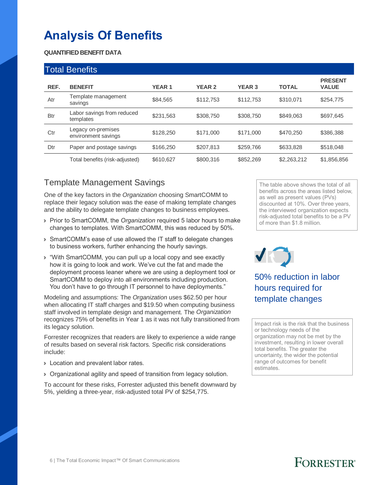# **Analysis Of Benefits**

#### **QUANTIFIED BENEFIT DATA**

|            | <b>Total Benefits</b>                     |              |               |               |              |                                |
|------------|-------------------------------------------|--------------|---------------|---------------|--------------|--------------------------------|
| REF.       | <b>BENEFIT</b>                            | <b>YEAR1</b> | <b>YEAR 2</b> | <b>YEAR 3</b> | <b>TOTAL</b> | <b>PRESENT</b><br><b>VALUE</b> |
| Atr        | Template management<br>savings            | \$84.565     | \$112,753     | \$112,753     | \$310.071    | \$254,775                      |
| <b>Btr</b> | Labor savings from reduced<br>templates   | \$231.563    | \$308,750     | \$308,750     | \$849,063    | \$697.645                      |
| Ctr        | Legacy on-premises<br>environment savings | \$128,250    | \$171,000     | \$171,000     | \$470.250    | \$386,388                      |
| Dtr        | Paper and postage savings                 | \$166,250    | \$207.813     | \$259,766     | \$633,828    | \$518.048                      |
|            | Total benefits (risk-adjusted)            | \$610,627    | \$800,316     | \$852,269     | \$2,263,212  | \$1,856,856                    |

### Template Management Savings

One of the key factors in the *Organization* choosing SmartCOMM to replace their legacy solution was the ease of making template changes and the ability to delegate template changes to business employees.

- › Prior to SmartCOMM, the *Organization* required 5 labor hours to make changes to templates. With SmartCOMM, this was reduced by 50%.
- › SmartCOMM's ease of use allowed the IT staff to delegate changes to business workers, further enhancing the hourly savings.
- › "With SmartCOMM, you can pull up a local copy and see exactly how it is going to look and work. We've cut the fat and made the deployment process leaner where we are using a deployment tool or SmartCOMM to deploy into all environments including production. You don't have to go through IT personnel to have deployments."

Modeling and assumptions: The *Organization* uses \$62.50 per hour when allocating IT staff charges and \$19.50 when computing business staff involved in template design and management. The *Organization* recognizes 75% of benefits in Year 1 as it was not fully transitioned from its legacy solution.

Forrester recognizes that readers are likely to experience a wide range of results based on several risk factors. Specific risk considerations include:

- **>** Location and prevalent labor rates.
- › Organizational agility and speed of transition from legacy solution.

To account for these risks, Forrester adjusted this benefit downward by 5%, yielding a three-year, risk-adjusted total PV of \$254,775.

The table above shows the total of all benefits across the areas listed below, as well as present values (PVs) discounted at 10%. Over three years, the interviewed organization expects risk-adjusted total benefits to be a PV of more than \$1.8 million.

# VK

50% reduction in labor hours required for template changes

Impact risk is the risk that the business or technology needs of the organization may not be met by the investment, resulting in lower overall total benefits. The greater the uncertainty, the wider the potential range of outcomes for benefit estimates.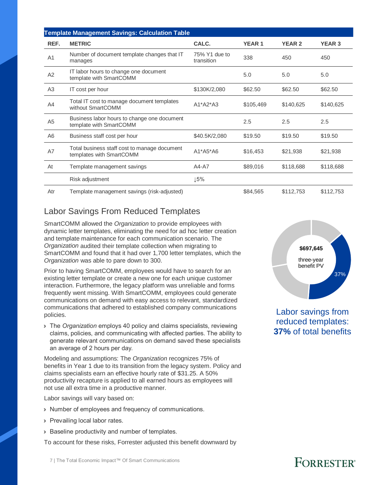|                | <b>Template Management Savings: Calculation Table</b>                    |                             |              |               |               |
|----------------|--------------------------------------------------------------------------|-----------------------------|--------------|---------------|---------------|
| REF.           | <b>METRIC</b>                                                            | CALC.                       | <b>YEAR1</b> | <b>YEAR 2</b> | <b>YEAR 3</b> |
| A <sub>1</sub> | Number of document template changes that IT<br>manages                   | 75% Y1 due to<br>transition | 338          | 450           | 450           |
| A2             | IT labor hours to change one document<br>template with SmartCOMM         |                             | 5.0          | 5.0           | 5.0           |
| A <sub>3</sub> | IT cost per hour                                                         | \$130K/2,080                | \$62.50      | \$62.50       | \$62.50       |
| A4             | Total IT cost to manage document templates<br>without SmartCOMM          | $A1*A2*A3$                  | \$105,469    | \$140,625     | \$140,625     |
| A <sub>5</sub> | Business labor hours to change one document<br>template with SmartCOMM   |                             | 2.5          | 2.5           | 2.5           |
| A <sub>6</sub> | Business staff cost per hour                                             | \$40.5K/2,080               | \$19.50      | \$19.50       | \$19.50       |
| A7             | Total business staff cost to manage document<br>templates with SmartCOMM | $A1*A5*A6$                  | \$16,453     | \$21,938      | \$21,938      |
| At             | Template management savings                                              | A4-A7                       | \$89,016     | \$118,688     | \$118,688     |
|                | Risk adjustment                                                          | 15%                         |              |               |               |
| Atr            | Template management savings (risk-adjusted)                              |                             | \$84,565     | \$112,753     | \$112,753     |

### Labor Savings From Reduced Templates

SmartCOMM allowed the *Organization* to provide employees with dynamic letter templates, eliminating the need for ad hoc letter creation and template maintenance for each communication scenario. The *Organization* audited their template collection when migrating to SmartCOMM and found that it had over 1,700 letter templates, which the *Organization* was able to pare down to 300.

Prior to having SmartCOMM, employees would have to search for an existing letter template or create a new one for each unique customer interaction. Furthermore, the legacy platform was unreliable and forms frequently went missing. With SmartCOMM, employees could generate communications on demand with easy access to relevant, standardized communications that adhered to established company communications policies.

› The *Organization* employs 40 policy and claims specialists, reviewing claims, policies, and communicating with affected parties. The ability to generate relevant communications on demand saved these specialists an average of 2 hours per day.

Modeling and assumptions: The *Organization* recognizes 75% of benefits in Year 1 due to its transition from the legacy system. Policy and claims specialists earn an effective hourly rate of \$31.25. A 50% productivity recapture is applied to all earned hours as employees will not use all extra time in a productive manner.

Labor savings will vary based on:

- › Number of employees and frequency of communications.
- › Prevailing local labor rates.
- › Baseline productivity and number of templates.

To account for these risks, Forrester adjusted this benefit downward by



Labor savings from reduced templates: **37%** of total benefits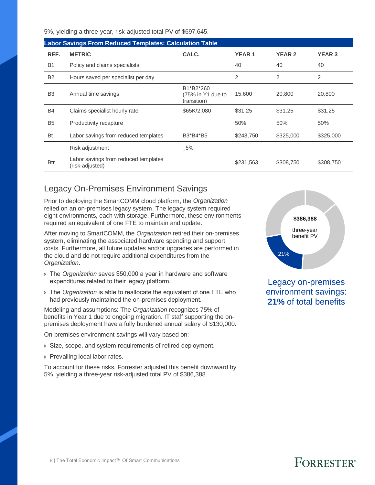5%, yielding a three-year, risk-adjusted total PV of \$697,645.

|                | <b>Labor Savings From Reduced Templates: Calculation Table</b> |                                               |              |               |               |  |  |  |  |
|----------------|----------------------------------------------------------------|-----------------------------------------------|--------------|---------------|---------------|--|--|--|--|
| REF.           | <b>METRIC</b>                                                  | CALC.                                         | <b>YEAR1</b> | <b>YEAR 2</b> | <b>YEAR 3</b> |  |  |  |  |
| <b>B1</b>      | Policy and claims specialists                                  |                                               | 40           | 40            | 40            |  |  |  |  |
| <b>B2</b>      | Hours saved per specialist per day                             |                                               | 2            | 2             | 2             |  |  |  |  |
| B <sub>3</sub> | Annual time savings                                            | B1*B2*260<br>(75% in Y1 due to<br>transition) | 15,600       | 20,800        | 20,800        |  |  |  |  |
| <b>B4</b>      | Claims specialist hourly rate                                  | \$65K/2,080                                   | \$31.25      | \$31.25       | \$31.25       |  |  |  |  |
| B <sub>5</sub> | Productivity recapture                                         |                                               | 50%          | 50%           | 50%           |  |  |  |  |
| <b>Bt</b>      | Labor savings from reduced templates                           | B3*B4*B5                                      | \$243,750    | \$325,000     | \$325,000     |  |  |  |  |
|                | Risk adjustment                                                | 15%                                           |              |               |               |  |  |  |  |
| <b>Btr</b>     | Labor savings from reduced templates<br>(risk-adjusted)        |                                               | \$231,563    | \$308,750     | \$308,750     |  |  |  |  |

### Legacy On-Premises Environment Savings

Prior to deploying the SmartCOMM cloud platform, the *Organization* relied on an on-premises legacy system. The legacy system required eight environments, each with storage. Furthermore, these environments required an equivalent of one FTE to maintain and update.

After moving to SmartCOMM, the *Organization* retired their on-premises system, eliminating the associated hardware spending and support costs. Furthermore, all future updates and/or upgrades are performed in the cloud and do not require additional expenditures from the *Organization*.

- › The *Organization* saves \$50,000 a year in hardware and software expenditures related to their legacy platform.
- › The *Organization* is able to reallocate the equivalent of one FTE who had previously maintained the on-premises deployment.

Modeling and assumptions: The *Organization* recognizes 75% of benefits in Year 1 due to ongoing migration. IT staff supporting the onpremises deployment have a fully burdened annual salary of \$130,000.

On-premises environment savings will vary based on:

- › Size, scope, and system requirements of retired deployment.
- **> Prevailing local labor rates.**

To account for these risks, Forrester adjusted this benefit downward by 5%, yielding a three-year risk-adjusted total PV of \$386,388.



Legacy on-premises environment savings: **21%** of total benefits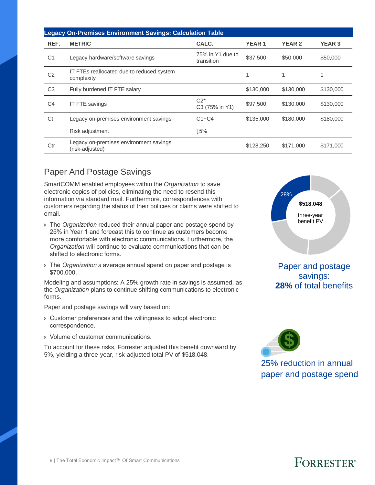|                | <b>Legacy On-Premises Environment Savings: Calculation Table</b> |                                |              |               |               |  |  |  |
|----------------|------------------------------------------------------------------|--------------------------------|--------------|---------------|---------------|--|--|--|
| REF.           | <b>METRIC</b>                                                    | CALC.                          | <b>YEAR1</b> | <b>YEAR 2</b> | <b>YEAR 3</b> |  |  |  |
| C <sub>1</sub> | Legacy hardware/software savings                                 | 75% in Y1 due to<br>transition | \$37,500     | \$50,000      | \$50,000      |  |  |  |
| C <sub>2</sub> | IT FTEs reallocated due to reduced system<br>complexity          |                                |              | 1             | 1             |  |  |  |
| C <sub>3</sub> | Fully burdened IT FTE salary                                     |                                | \$130,000    | \$130,000     | \$130,000     |  |  |  |
| C <sub>4</sub> | <b>IT FTE savings</b>                                            | $C2*$<br>C3 (75% in Y1)        | \$97,500     | \$130,000     | \$130,000     |  |  |  |
| Ct             | Legacy on-premises environment savings                           | $C1+C4$                        | \$135,000    | \$180,000     | \$180,000     |  |  |  |
|                | Risk adjustment                                                  | 15%                            |              |               |               |  |  |  |
| Ctr            | Legacy on-premises environment savings<br>(risk-adjusted)        |                                | \$128,250    | \$171,000     | \$171,000     |  |  |  |

### Paper And Postage Savings

SmartCOMM enabled employees within the *Organization* to save electronic copies of policies, eliminating the need to resend this information via standard mail. Furthermore, correspondences with customers regarding the status of their policies or claims were shifted to email.

- › The *Organization* reduced their annual paper and postage spend by 25% in Year 1 and forecast this to continue as customers become more comfortable with electronic communications. Furthermore, the *Organization* will continue to evaluate communications that can be shifted to electronic forms.
- › The *Organization's* average annual spend on paper and postage is \$700,000.

Modeling and assumptions: A 25% growth rate in savings is assumed, as the *Organization* plans to continue shifting communications to electronic forms.

Paper and postage savings will vary based on:

- › Customer preferences and the willingness to adopt electronic correspondence.
- › Volume of customer communications.

To account for these risks, Forrester adjusted this benefit downward by 5%, yielding a three-year, risk-adjusted total PV of \$518,048.



Paper and postage savings: **28%** of total benefits



25% reduction in annual paper and postage spend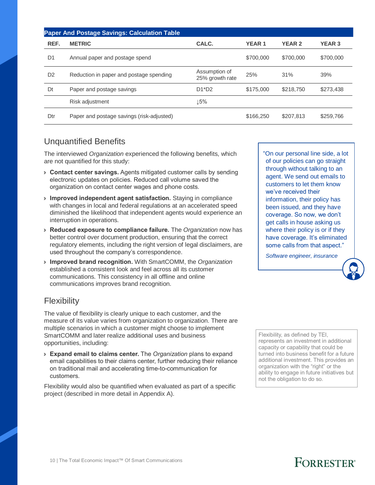|                | <b>Paper And Postage Savings: Calculation Table</b> |                                  |              |               |               |
|----------------|-----------------------------------------------------|----------------------------------|--------------|---------------|---------------|
| REF.           | <b>METRIC</b>                                       | CALC.                            | <b>YEAR1</b> | <b>YEAR 2</b> | <b>YEAR 3</b> |
| D <sub>1</sub> | Annual paper and postage spend                      |                                  | \$700,000    | \$700,000     | \$700,000     |
| D <sub>2</sub> | Reduction in paper and postage spending             | Assumption of<br>25% growth rate | 25%          | 31%           | 39%           |
| Dt             | Paper and postage savings                           | $D1^{\ast}D2$                    | \$175,000    | \$218,750     | \$273,438     |
|                | Risk adjustment                                     | 15%                              |              |               |               |
| Dtr            | Paper and postage savings (risk-adjusted)           |                                  | \$166,250    | \$207.813     | \$259,766     |

### Unquantified Benefits

The interviewed *Organization* experienced the following benefits, which are not quantified for this study:

- › **Contact center savings.** Agents mitigated customer calls by sending electronic updates on policies. Reduced call volume saved the organization on contact center wages and phone costs.
- › **Improved independent agent satisfaction.** Staying in compliance with changes in local and federal regulations at an accelerated speed diminished the likelihood that independent agents would experience an interruption in operations.
- › **Reduced exposure to compliance failure.** The *Organization* now has better control over document production, ensuring that the correct regulatory elements, including the right version of legal disclaimers, are used throughout the company's correspondence.
- › **Improved brand recognition.** With SmartCOMM, the *Organization* established a consistent look and feel across all its customer communications. This consistency in all offline and online communications improves brand recognition.

### Flexibility

The value of flexibility is clearly unique to each customer, and the measure of its value varies from organization to organization. There are multiple scenarios in which a customer might choose to implement SmartCOMM and later realize additional uses and business opportunities, including:

› **Expand email to claims center.** The *Organization* plans to expand email capabilities to their claims center, further reducing their reliance on traditional mail and accelerating time-to-communication for customers.

Flexibility would also be quantified when evaluated as part of a specific project (described in more detail in Appendix A).

"On our personal line side, a lot of our policies can go straight through without talking to an agent. We send out emails to customers to let them know we've received their information, their policy has been issued, and they have coverage. So now, we don't get calls in house asking us where their policy is or if they have coverage. It's eliminated some calls from that aspect."

*Software engineer, insurance*

Flexibility, as defined by TEI, represents an investment in additional capacity or capability that could be turned into business benefit for a future additional investment. This provides an organization with the "right" or the ability to engage in future initiatives but not the obligation to do so.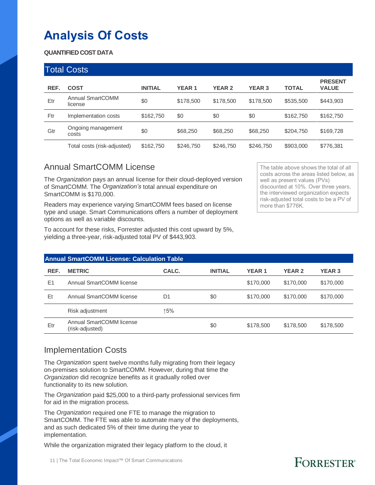# **Analysis Of Costs**

#### **QUANTIFIED COST DATA**

|      | <b>Total Costs</b>                 |                |              |               |               |              |                                |
|------|------------------------------------|----------------|--------------|---------------|---------------|--------------|--------------------------------|
| REF. | <b>COST</b>                        | <b>INITIAL</b> | <b>YEAR1</b> | <b>YEAR 2</b> | <b>YEAR 3</b> | <b>TOTAL</b> | <b>PRESENT</b><br><b>VALUE</b> |
| Etr  | <b>Annual SmartCOMM</b><br>license | \$0            | \$178,500    | \$178,500     | \$178,500     | \$535,500    | \$443,903                      |
| Ftr  | Implementation costs               | \$162,750      | \$0          | \$0           | \$0           | \$162,750    | \$162,750                      |
| Gtr  | Ongoing management<br>costs        | \$0            | \$68,250     | \$68,250      | \$68,250      | \$204,750    | \$169,728                      |
|      | Total costs (risk-adjusted)        | \$162,750      | \$246,750    | \$246,750     | \$246,750     | \$903,000    | \$776,381                      |

### Annual SmartCOMM License

The *Organization* pays an annual license for their cloud-deployed version of SmartCOMM. The *Organization's* total annual expenditure on SmartCOMM is \$170,000.

Readers may experience varying SmartCOMM fees based on license type and usage. Smart Communications offers a number of deployment options as well as variable discounts.

To account for these risks, Forrester adjusted this cost upward by 5%, yielding a three-year, risk-adjusted total PV of \$443,903.

The table above shows the total of all costs across the areas listed below, as well as present values (PVs) discounted at 10%. Over three years, the interviewed organization expects risk-adjusted total costs to be a PV of more than \$776K.

|      | <b>Annual SmartCOMM License: Calculation Table</b> |                |                |              |               |               |  |  |  |  |
|------|----------------------------------------------------|----------------|----------------|--------------|---------------|---------------|--|--|--|--|
| REF. | <b>METRIC</b>                                      | CALC.          | <b>INITIAL</b> | <b>YEAR1</b> | <b>YEAR 2</b> | <b>YEAR 3</b> |  |  |  |  |
| E1   | Annual SmartCOMM license                           |                |                | \$170,000    | \$170,000     | \$170,000     |  |  |  |  |
| Et   | Annual SmartCOMM license                           | D <sub>1</sub> | \$0            | \$170,000    | \$170,000     | \$170,000     |  |  |  |  |
|      | Risk adjustment                                    | ↑5%            |                |              |               |               |  |  |  |  |
| Etr  | Annual SmartCOMM license<br>(risk-adjusted)        |                | \$0            | \$178,500    | \$178,500     | \$178,500     |  |  |  |  |

#### Implementation Costs

The *Organization* spent twelve months fully migrating from their legacy on-premises solution to SmartCOMM. However, during that time the *Organization* did recognize benefits as it gradually rolled over functionality to its new solution.

The *Organization* paid \$25,000 to a third-party professional services firm for aid in the migration process.

The *Organization* required one FTE to manage the migration to SmartCOMM. The FTE was able to automate many of the deployments, and as such dedicated 5% of their time during the year to implementation.

While the organization migrated their legacy platform to the cloud, it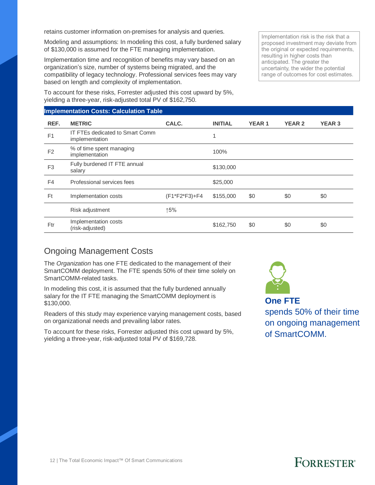retains customer information on-premises for analysis and queries.

Modeling and assumptions: In modeling this cost, a fully burdened salary of \$130,000 is assumed for the FTE managing implementation.

Implementation time and recognition of benefits may vary based on an organization's size, number of systems being migrated, and the compatibility of legacy technology. Professional services fees may vary based on length and complexity of implementation.

To account for these risks, Forrester adjusted this cost upward by 5%, yielding a three-year, risk-adjusted total PV of \$162,750.

#### **Implementation Costs: Calculation Table**

proposed investment may deviate from the original or expected requirements, resulting in higher costs than anticipated. The greater the uncertainty, the wider the potential range of outcomes for cost estimates.

Implementation risk is the risk that a

| REF.           | <b>METRIC</b>                                     | CALC.         | <b>INITIAL</b> | <b>YEAR1</b> | <b>YEAR 2</b> | <b>YEAR 3</b> |
|----------------|---------------------------------------------------|---------------|----------------|--------------|---------------|---------------|
| F1             | IT FTEs dedicated to Smart Comm<br>implementation |               |                |              |               |               |
| F <sub>2</sub> | % of time spent managing<br>implementation        |               | 100%           |              |               |               |
| F <sub>3</sub> | Fully burdened IT FTE annual<br>salary            |               | \$130,000      |              |               |               |
| F <sub>4</sub> | Professional services fees                        |               | \$25,000       |              |               |               |
| Ft             | Implementation costs                              | (F1*F2*F3)+F4 | \$155,000      | \$0          | \$0           | \$0           |
|                | Risk adjustment                                   | ↑5%           |                |              |               |               |
| Ftr            | Implementation costs<br>(risk-adjusted)           |               | \$162,750      | \$0          | \$0           | \$0           |
|                |                                                   |               |                |              |               |               |

#### Ongoing Management Costs

The *Organization* has one FTE dedicated to the management of their SmartCOMM deployment. The FTE spends 50% of their time solely on SmartCOMM-related tasks.

In modeling this cost, it is assumed that the fully burdened annually salary for the IT FTE managing the SmartCOMM deployment is \$130,000.

Readers of this study may experience varying management costs, based on organizational needs and prevailing labor rates.

To account for these risks, Forrester adjusted this cost upward by 5%, yielding a three-year, risk-adjusted total PV of \$169,728.



**One FTE** spends 50% of their time on ongoing management of SmartCOMM.

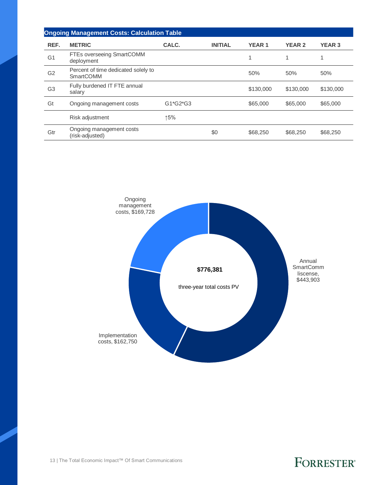|                | <b>Ongoing Management Costs: Calculation Table</b> |          |                |               |               |               |
|----------------|----------------------------------------------------|----------|----------------|---------------|---------------|---------------|
| REF.           | <b>METRIC</b>                                      | CALC.    | <b>INITIAL</b> | <b>YEAR 1</b> | <b>YEAR 2</b> | <b>YEAR 3</b> |
| G <sub>1</sub> | FTEs overseeing SmartCOMM<br>deployment            |          |                |               |               | и             |
| G <sub>2</sub> | Percent of time dedicated solely to<br>SmartCOMM   |          |                | 50%           | 50%           | 50%           |
| G <sub>3</sub> | Fully burdened IT FTE annual<br>salary             |          |                | \$130,000     | \$130,000     | \$130,000     |
| Gt             | Ongoing management costs                           | G1*G2*G3 |                | \$65,000      | \$65,000      | \$65,000      |
|                | Risk adjustment                                    | ↑5%      |                |               |               |               |
| Gtr            | Ongoing management costs<br>(risk-adjusted)        |          | \$0            | \$68,250      | \$68,250      | \$68,250      |



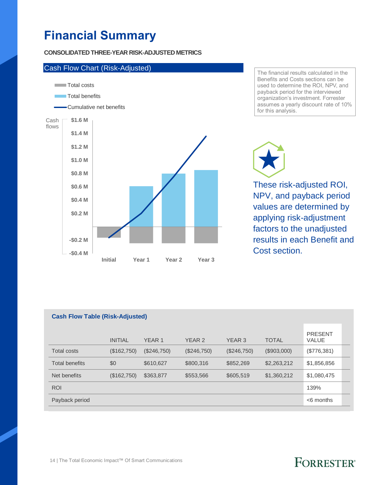## **Financial Summary**

#### **CONSOLIDATED THREE-YEAR RISK-ADJUSTED METRICS**



The financial results calculated in the Benefits and Costs sections can be used to determine the ROI, NPV, and payback period for the interviewed organization's investment. Forrester assumes a yearly discount rate of 10% for this analysis.

These risk-adjusted ROI, NPV, and payback period values are determined by applying risk-adjustment factors to the unadjusted results in each Benefit and Cost section.

| <b>Cash Flow Table (Risk-Adjusted)</b> |                |                   |                   |             |              |                         |  |  |  |
|----------------------------------------|----------------|-------------------|-------------------|-------------|--------------|-------------------------|--|--|--|
|                                        | <b>INITIAL</b> | YEAR <sub>1</sub> | YEAR <sub>2</sub> | YEAR 3      | <b>TOTAL</b> | <b>PRESENT</b><br>VALUE |  |  |  |
| Total costs                            | (\$162,750)    | (\$246,750)       | (\$246,750)       | (\$246,750) | (\$903,000)  | (\$776,381)             |  |  |  |
| <b>Total benefits</b>                  | \$0            | \$610,627         | \$800,316         | \$852,269   | \$2,263,212  | \$1,856,856             |  |  |  |
| Net benefits                           | (\$162,750)    | \$363,877         | \$553,566         | \$605,519   | \$1,360,212  | \$1,080,475             |  |  |  |
| <b>ROI</b>                             |                |                   |                   |             |              | 139%                    |  |  |  |
| Payback period                         |                |                   |                   |             |              | $<$ 6 months            |  |  |  |

#### 14 | The Total Economic Impact™ Of Smart Communications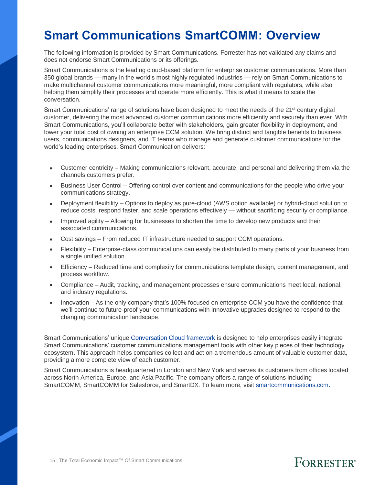### **Smart Communications SmartCOMM: Overview**

The following information is provided by Smart Communications. Forrester has not validated any claims and does not endorse Smart Communications or its offerings.

Smart Communications is the leading cloud-based platform for enterprise customer communications. More than 350 global brands — many in the world's most highly regulated industries — rely on Smart Communications to make multichannel customer communications more meaningful, more compliant with regulators, while also helping them simplify their processes and operate more efficiently. This is what it means to scale the conversation.

Smart Communications' range of solutions have been designed to meet the needs of the 21<sup>st</sup> century digital customer, delivering the most advanced customer communications more efficiently and securely than ever. With Smart Communications, you'll collaborate better with stakeholders, gain greater flexibility in deployment, and lower your total cost of owning an enterprise CCM solution. We bring distinct and tangible benefits to business users, communications designers, and IT teams who manage and generate customer communications for the world's leading enterprises. Smart Communication delivers:

- Customer centricity Making communications relevant, accurate, and personal and delivering them via the channels customers prefer.
- Business User Control Offering control over content and communications for the people who drive your communications strategy.
- Deployment flexibility Options to deploy as pure-cloud (AWS option available) or hybrid-cloud solution to reduce costs, respond faster, and scale operations effectively — without sacrificing security or compliance.
- Improved agility Allowing for businesses to shorten the time to develop new products and their associated communications.
- Cost savings From reduced IT infrastructure needed to support CCM operations.
- Flexibility Enterprise-class communications can easily be distributed to many parts of your business from a single unified solution.
- Efficiency Reduced time and complexity for communications template design, content management, and process workflow.
- Compliance Audit, tracking, and management processes ensure communications meet local, national, and industry regulations.
- Innovation As the only company that's 100% focused on enterprise CCM you have the confidence that we'll continue to future-proof your communications with innovative upgrades designed to respond to the changing communication landscape.

Smart Communications' unique [Conversation Cloud framework](https://www.smartcommunications.com/conversation-cloud-framework/) is designed to help enterprises easily integrate Smart Communications' customer communications management tools with other key pieces of their technology ecosystem. This approach helps companies collect and act on a tremendous amount of valuable customer data, providing a more complete view of each customer.

Smart Communications is headquartered in London and New York and serves its customers from offices located across North America, Europe, and Asia Pacific. The company offers a range of solutions including SmartCOMM, SmartCOMM for Salesforce, and SmartDX. To learn more, visit [smartcommunications.com.](https://www.smartcommunications.com/)